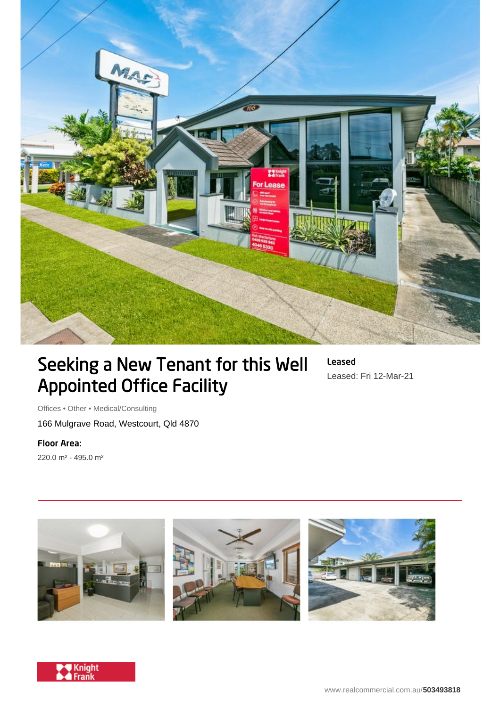

## Seeking a New Tenant for this Well Appointed Office Facility

Leased Leased: Fri 12-Mar-21

Offices • Other • Medical/Consulting 166 Mulgrave Road, Westcourt, Qld 4870

Floor Area: 220.0 m² - 495.0 m²